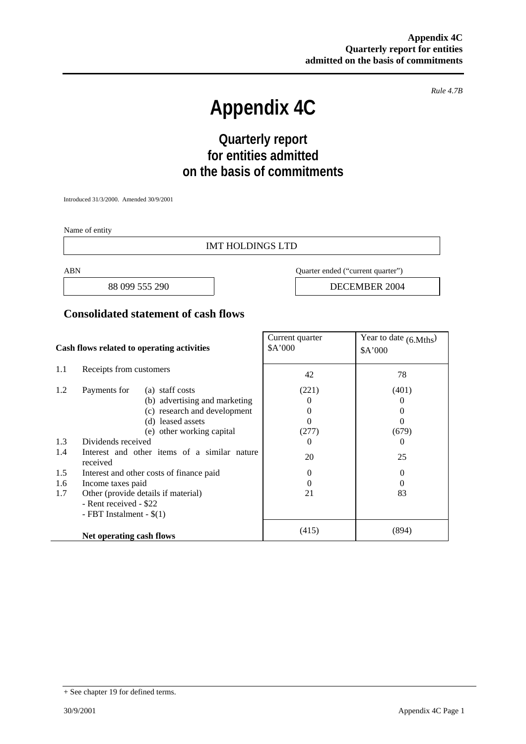*Rule 4.7B* 

# **Appendix 4C**

## **Quarterly report for entities admitted on the basis of commitments**

Introduced 31/3/2000. Amended 30/9/2001

Name of entity

#### IMT HOLDINGS LTD

ABN Quarter ended ("current quarter")

88 099 555 290 **DECEMBER 2004** 

#### **Consolidated statement of cash flows**

| Cash flows related to operating activities |                                                                  | Current quarter<br>\$A'000 | Year to date $(6. Mths)$<br>\$A'000 |
|--------------------------------------------|------------------------------------------------------------------|----------------------------|-------------------------------------|
| 1.1                                        | Receipts from customers                                          | 42                         | 78                                  |
| 1.2                                        | (a) staff costs<br>Payments for<br>(b) advertising and marketing | (221)<br>$\theta$          | (401)<br>$\theta$                   |
|                                            | (c) research and development<br>(d) leased assets                | $\theta$<br>0              | $\theta$<br>$\theta$                |
|                                            | (e) other working capital                                        | (277)                      | (679)                               |
| 1.3                                        | Dividends received                                               | $\Omega$                   | $\theta$                            |
| 1.4                                        | Interest and other items of a similar nature<br>received         | 20                         | 25                                  |
| 1.5                                        | Interest and other costs of finance paid                         | $\Omega$                   | 0                                   |
| 1.6                                        | Income taxes paid                                                | $\theta$                   | $\Omega$                            |
| 1.7                                        | Other (provide details if material)                              | 21                         | 83                                  |
|                                            | - Rent received - \$22                                           |                            |                                     |
|                                            | - FBT Instalment - $$(1)$                                        |                            |                                     |
|                                            | Net operating cash flows                                         | (415)                      | (894)                               |

<sup>+</sup> See chapter 19 for defined terms.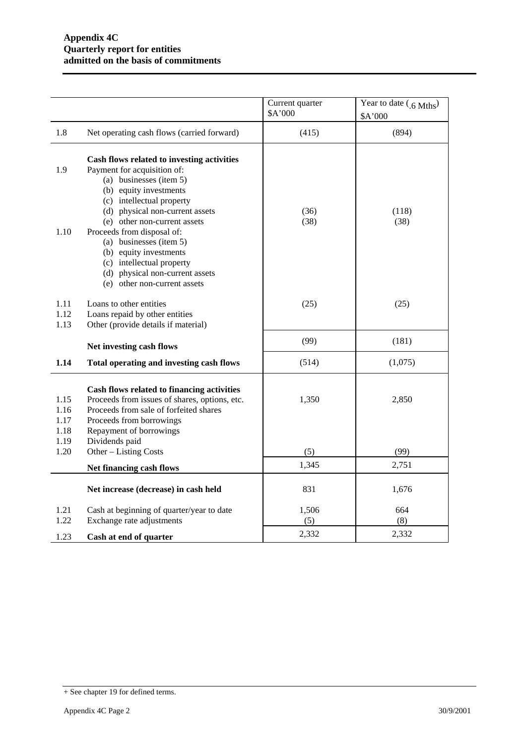|                              |                                                                                                                                                                                                                                                              | Current quarter<br>\$A'000 | Year to date $(0.6 \text{ Mths})$<br>\$A'000 |
|------------------------------|--------------------------------------------------------------------------------------------------------------------------------------------------------------------------------------------------------------------------------------------------------------|----------------------------|----------------------------------------------|
| 1.8                          | Net operating cash flows (carried forward)                                                                                                                                                                                                                   | (415)                      | (894)                                        |
| 1.9<br>1.10                  | Cash flows related to investing activities<br>Payment for acquisition of:<br>(a) businesses (item 5)<br>(b) equity investments<br>(c) intellectual property<br>(d) physical non-current assets<br>(e) other non-current assets<br>Proceeds from disposal of: | (36)<br>(38)               | (118)<br>(38)                                |
|                              | (a) businesses (item 5)<br>(b) equity investments<br>(c) intellectual property<br>(d) physical non-current assets<br>(e) other non-current assets                                                                                                            |                            |                                              |
| 1.11<br>1.12<br>1.13         | Loans to other entities<br>Loans repaid by other entities<br>Other (provide details if material)                                                                                                                                                             | (25)                       | (25)                                         |
|                              | Net investing cash flows                                                                                                                                                                                                                                     | (99)                       | (181)                                        |
| 1.14                         | Total operating and investing cash flows                                                                                                                                                                                                                     | (514)                      | (1,075)                                      |
| 1.15<br>1.16<br>1.17<br>1.18 | Cash flows related to financing activities<br>Proceeds from issues of shares, options, etc.<br>Proceeds from sale of forfeited shares<br>Proceeds from borrowings<br>Repayment of borrowings                                                                 | 1,350                      | 2,850                                        |
| 1.19<br>1.20                 | Dividends paid<br>Other - Listing Costs                                                                                                                                                                                                                      | (5)                        | (99)                                         |
|                              | Net financing cash flows                                                                                                                                                                                                                                     | 1,345                      | 2,751                                        |
|                              | Net increase (decrease) in cash held                                                                                                                                                                                                                         | 831                        | 1,676                                        |
| 1.21<br>1.22                 | Cash at beginning of quarter/year to date<br>Exchange rate adjustments                                                                                                                                                                                       | 1,506<br>(5)               | 664<br>(8)                                   |
| 1.23                         | Cash at end of quarter                                                                                                                                                                                                                                       | 2,332                      | 2,332                                        |

<sup>+</sup> See chapter 19 for defined terms.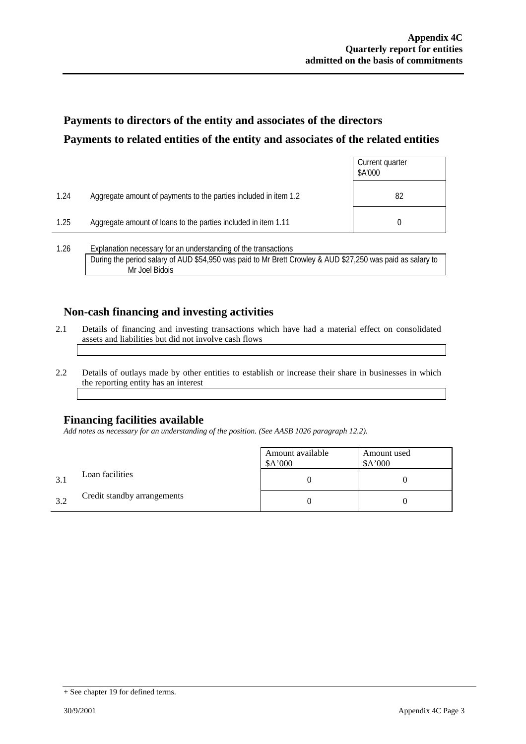## **Payments to directors of the entity and associates of the directors Payments to related entities of the entity and associates of the related entities**

|      |                                                                  | Current quarter<br>\$A'000 |
|------|------------------------------------------------------------------|----------------------------|
| 1.24 | Aggregate amount of payments to the parties included in item 1.2 | 82                         |
| 1.25 | Aggregate amount of loans to the parties included in item 1.11   |                            |
| 1 26 | Explanation necessary for an understanding of the transactions   |                            |

1.26 Explanation necessary for an understanding of the transactions During the period salary of AUD \$54,950 was paid to Mr Brett Crowley & AUD \$27,250 was paid as salary to Mr Joel Bidois

#### **Non-cash financing and investing activities**

- 2.1 Details of financing and investing transactions which have had a material effect on consolidated assets and liabilities but did not involve cash flows
- 2.2 Details of outlays made by other entities to establish or increase their share in businesses in which the reporting entity has an interest

#### **Financing facilities available**

*Add notes as necessary for an understanding of the position. (See AASB 1026 paragraph 12.2).* 

|     |                             | Amount available<br>A'000 | Amount used<br>\$A'000 |
|-----|-----------------------------|---------------------------|------------------------|
| 3.1 | Loan facilities             |                           |                        |
| 3.2 | Credit standby arrangements |                           |                        |

<sup>+</sup> See chapter 19 for defined terms.